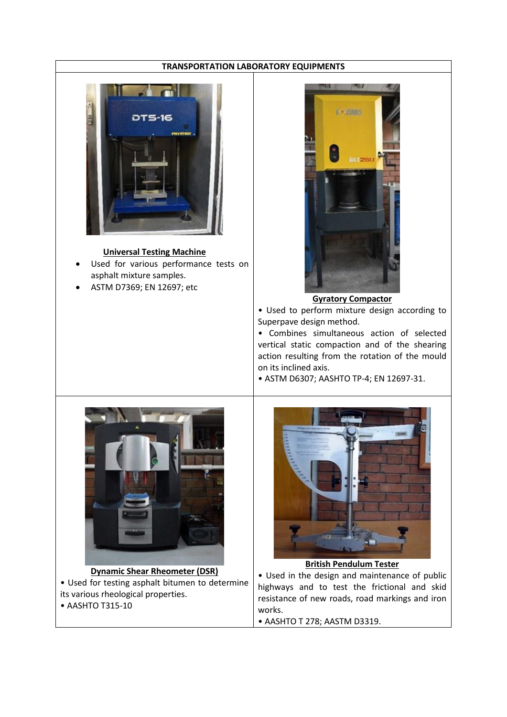

#### **Universal Testing Machine**

- Used for various performance tests on asphalt mixture samples.
- ASTM D7369; EN 12697; etc



#### **Gyratory Compactor**

• Used to perform mixture design according to Superpave design method.

• Combines simultaneous action of selected vertical static compaction and of the shearing action resulting from the rotation of the mould on its inclined axis.

• ASTM D6307; AASHTO TP-4; EN 12697-31.



**Dynamic Shear Rheometer (DSR)**  • Used for testing asphalt bitumen to determine its various rheological properties. • AASHTO T315-10



**British Pendulum Tester** 

• Used in the design and maintenance of public highways and to test the frictional and skid resistance of new roads, road markings and iron works.

• AASHTO T 278; AASTM D3319.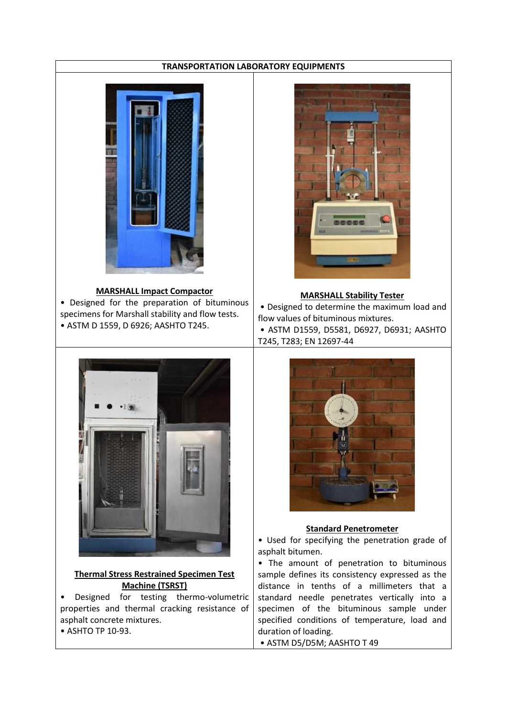

#### **MARSHALL Impact Compactor**

• Designed for the preparation of bituminous specimens for Marshall stability and flow tests. • ASTM D 1559, D 6926; AASHTO T245.



#### **MARSHALL Stability Tester**

• Designed to determine the maximum load and flow values of bituminous mixtures.

• ASTM D1559, D5581, D6927, D6931; AASHTO T245, T283; EN 12697-44



# **Thermal Stress Restrained Specimen Test Machine (TSRST)**

• Designed for testing thermo-volumetric properties and thermal cracking resistance of asphalt concrete mixtures.

• ASHTO TP 10-93.



#### **Standard Penetrometer**

• Used for specifying the penetration grade of asphalt bitumen.

• The amount of penetration to bituminous sample defines its consistency expressed as the distance in tenths of a millimeters that a standard needle penetrates vertically into a specimen of the bituminous sample under specified conditions of temperature, load and duration of loading.

• ASTM D5/D5M; AASHTO T 49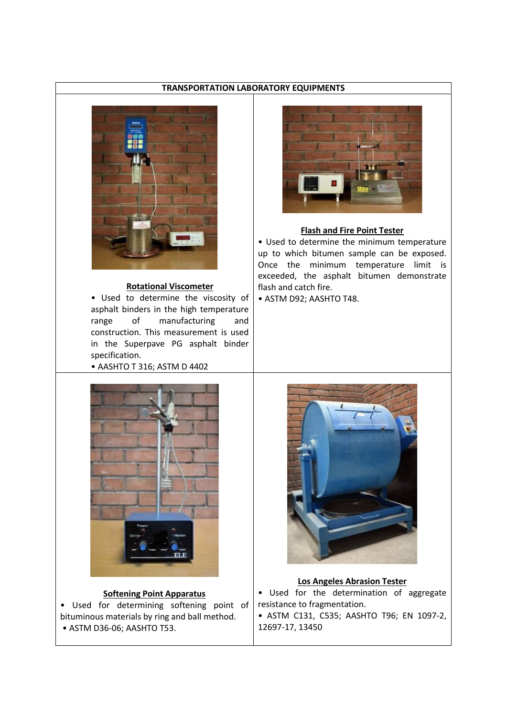

#### **Rotational Viscometer**

• Used to determine the viscosity of asphalt binders in the high temperature range of manufacturing and construction. This measurement is used in the Superpave PG asphalt binder specification.





## **Flash and Fire Point Tester**

• Used to determine the minimum temperature up to which bitumen sample can be exposed. Once the minimum temperature limit is exceeded, the asphalt bitumen demonstrate flash and catch fire.

• ASTM D92; AASHTO T48.



#### **Softening Point Apparatus**

• Used for determining softening point of bituminous materials by ring and ball method. • ASTM D36-06; AASHTO T53.



## **Los Angeles Abrasion Tester**

• Used for the determination of aggregate resistance to fragmentation.

• ASTM C131, C535; AASHTO T96; EN 1097-2, 12697-17, 13450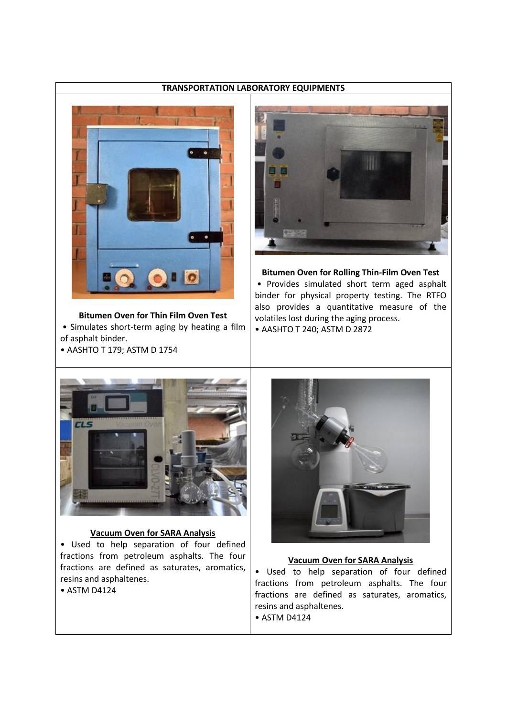

**Bitumen Oven for Thin Film Oven Test** • Simulates short-term aging by heating a film of asphalt binder. • AASHTO T 179; ASTM D 1754

## **TRANSPORTATION LABORATORY EQUIPMENTS**



**Bitumen Oven for Rolling Thin-Film Oven Test** • Provides simulated short term aged asphalt binder for physical property testing. The RTFO also provides a quantitative measure of the volatiles lost during the aging process. • AASHTO T 240; ASTM D 2872



#### **Vacuum Oven for SARA Analysis**

• Used to help separation of four defined fractions from petroleum asphalts. The four fractions are defined as saturates, aromatics, resins and asphaltenes.

• ASTM D4124



## **Vacuum Oven for SARA Analysis**

• Used to help separation of four defined fractions from petroleum asphalts. The four fractions are defined as saturates, aromatics, resins and asphaltenes.

• ASTM D4124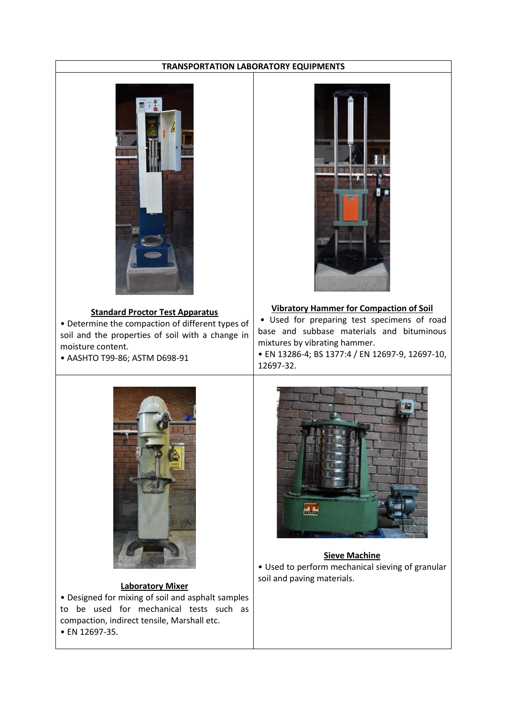

# **Standard Proctor Test Apparatus**

• Determine the compaction of different types of soil and the properties of soil with a change in moisture content.

• AASHTO T99-86; ASTM D698-91



## **Vibratory Hammer for Compaction of Soil**

• Used for preparing test specimens of road base and subbase materials and bituminous mixtures by vibrating hammer.

• EN 13286-4; BS 1377:4 / EN 12697-9, 12697-10, 12697-32.



# **Laboratory Mixer**

• Designed for mixing of soil and asphalt samples to be used for mechanical tests such as compaction, indirect tensile, Marshall etc. • EN 12697-35.



#### **Sieve Machine**

• Used to perform mechanical sieving of granular soil and paving materials.